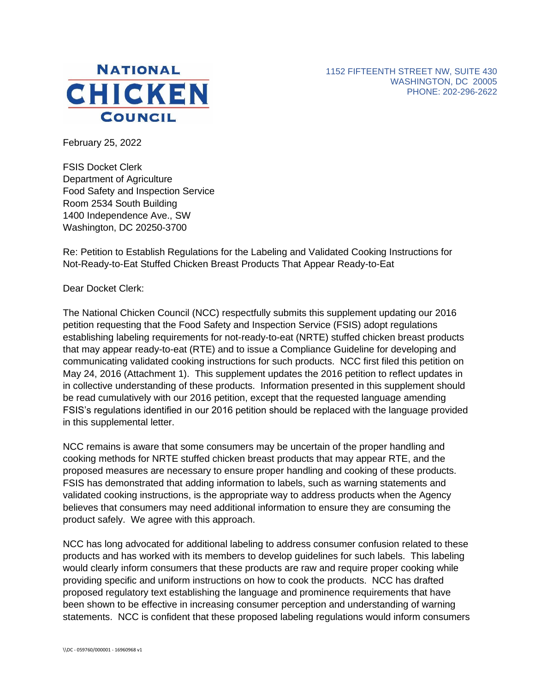



February 25, 2022

FSIS Docket Clerk Department of Agriculture Food Safety and Inspection Service Room 2534 South Building 1400 Independence Ave., SW Washington, DC 20250-3700

Re: Petition to Establish Regulations for the Labeling and Validated Cooking Instructions for Not-Ready-to-Eat Stuffed Chicken Breast Products That Appear Ready-to-Eat

Dear Docket Clerk:

The National Chicken Council (NCC) respectfully submits this supplement updating our 2016 petition requesting that the Food Safety and Inspection Service (FSIS) adopt regulations establishing labeling requirements for not-ready-to-eat (NRTE) stuffed chicken breast products that may appear ready-to-eat (RTE) and to issue a Compliance Guideline for developing and communicating validated cooking instructions for such products. NCC first filed this petition on May 24, 2016 (Attachment 1). This supplement updates the 2016 petition to reflect updates in in collective understanding of these products. Information presented in this supplement should be read cumulatively with our 2016 petition, except that the requested language amending FSIS's regulations identified in our 2016 petition should be replaced with the language provided in this supplemental letter.

NCC remains is aware that some consumers may be uncertain of the proper handling and cooking methods for NRTE stuffed chicken breast products that may appear RTE, and the proposed measures are necessary to ensure proper handling and cooking of these products. FSIS has demonstrated that adding information to labels, such as warning statements and validated cooking instructions, is the appropriate way to address products when the Agency believes that consumers may need additional information to ensure they are consuming the product safely. We agree with this approach.

NCC has long advocated for additional labeling to address consumer confusion related to these products and has worked with its members to develop guidelines for such labels. This labeling would clearly inform consumers that these products are raw and require proper cooking while providing specific and uniform instructions on how to cook the products. NCC has drafted proposed regulatory text establishing the language and prominence requirements that have been shown to be effective in increasing consumer perception and understanding of warning statements. NCC is confident that these proposed labeling regulations would inform consumers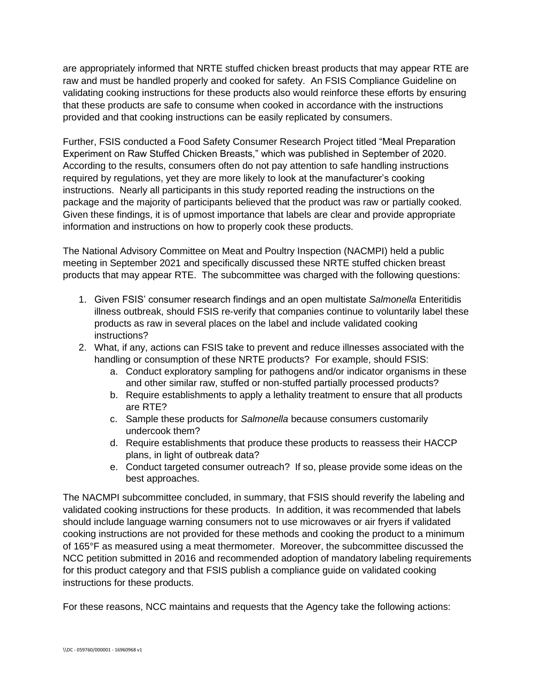are appropriately informed that NRTE stuffed chicken breast products that may appear RTE are raw and must be handled properly and cooked for safety. An FSIS Compliance Guideline on validating cooking instructions for these products also would reinforce these efforts by ensuring that these products are safe to consume when cooked in accordance with the instructions provided and that cooking instructions can be easily replicated by consumers.

Further, FSIS conducted a Food Safety Consumer Research Project titled "Meal Preparation Experiment on Raw Stuffed Chicken Breasts," which was published in September of 2020. According to the results, consumers often do not pay attention to safe handling instructions required by regulations, yet they are more likely to look at the manufacturer's cooking instructions. Nearly all participants in this study reported reading the instructions on the package and the majority of participants believed that the product was raw or partially cooked. Given these findings, it is of upmost importance that labels are clear and provide appropriate information and instructions on how to properly cook these products.

The National Advisory Committee on Meat and Poultry Inspection (NACMPI) held a public meeting in September 2021 and specifically discussed these NRTE stuffed chicken breast products that may appear RTE. The subcommittee was charged with the following questions:

- 1. Given FSIS' consumer research findings and an open multistate *Salmonella* Enteritidis illness outbreak, should FSIS re-verify that companies continue to voluntarily label these products as raw in several places on the label and include validated cooking instructions?
- 2. What, if any, actions can FSIS take to prevent and reduce illnesses associated with the handling or consumption of these NRTE products? For example, should FSIS:
	- a. Conduct exploratory sampling for pathogens and/or indicator organisms in these and other similar raw, stuffed or non-stuffed partially processed products?
	- b. Require establishments to apply a lethality treatment to ensure that all products are RTE?
	- c. Sample these products for *Salmonella* because consumers customarily undercook them?
	- d. Require establishments that produce these products to reassess their HACCP plans, in light of outbreak data?
	- e. Conduct targeted consumer outreach? If so, please provide some ideas on the best approaches.

The NACMPI subcommittee concluded, in summary, that FSIS should reverify the labeling and validated cooking instructions for these products. In addition, it was recommended that labels should include language warning consumers not to use microwaves or air fryers if validated cooking instructions are not provided for these methods and cooking the product to a minimum of 165°F as measured using a meat thermometer. Moreover, the subcommittee discussed the NCC petition submitted in 2016 and recommended adoption of mandatory labeling requirements for this product category and that FSIS publish a compliance guide on validated cooking instructions for these products.

For these reasons, NCC maintains and requests that the Agency take the following actions: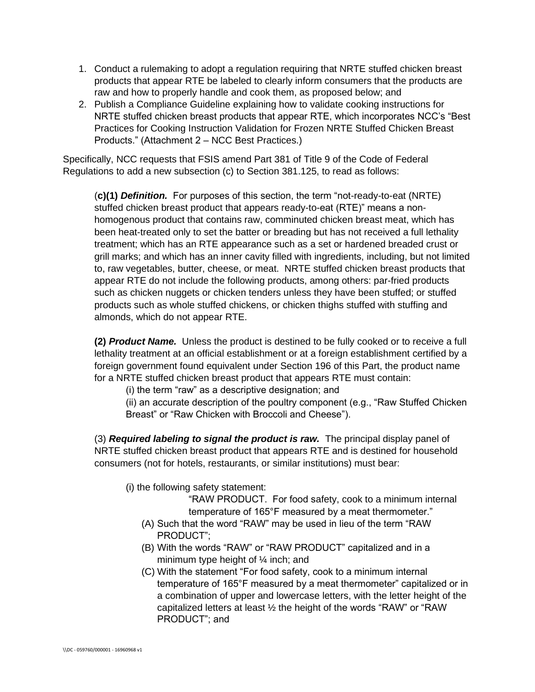- 1. Conduct a rulemaking to adopt a regulation requiring that NRTE stuffed chicken breast products that appear RTE be labeled to clearly inform consumers that the products are raw and how to properly handle and cook them, as proposed below; and
- 2. Publish a Compliance Guideline explaining how to validate cooking instructions for NRTE stuffed chicken breast products that appear RTE, which incorporates NCC's "Best Practices for Cooking Instruction Validation for Frozen NRTE Stuffed Chicken Breast Products." (Attachment 2 – NCC Best Practices.)

Specifically, NCC requests that FSIS amend Part 381 of Title 9 of the Code of Federal Regulations to add a new subsection (c) to Section 381.125, to read as follows:

(**c)(1)** *Definition.* For purposes of this section, the term "not-ready-to-eat (NRTE) stuffed chicken breast product that appears ready-to-eat (RTE)" means a nonhomogenous product that contains raw, comminuted chicken breast meat, which has been heat-treated only to set the batter or breading but has not received a full lethality treatment; which has an RTE appearance such as a set or hardened breaded crust or grill marks; and which has an inner cavity filled with ingredients, including, but not limited to, raw vegetables, butter, cheese, or meat. NRTE stuffed chicken breast products that appear RTE do not include the following products, among others: par-fried products such as chicken nuggets or chicken tenders unless they have been stuffed; or stuffed products such as whole stuffed chickens, or chicken thighs stuffed with stuffing and almonds, which do not appear RTE.

**(2)** *Product Name.* Unless the product is destined to be fully cooked or to receive a full lethality treatment at an official establishment or at a foreign establishment certified by a foreign government found equivalent under Section 196 of this Part, the product name for a NRTE stuffed chicken breast product that appears RTE must contain:

(i) the term "raw" as a descriptive designation; and

(ii) an accurate description of the poultry component (e.g., "Raw Stuffed Chicken Breast" or "Raw Chicken with Broccoli and Cheese").

(3) *Required labeling to signal the product is raw.* The principal display panel of NRTE stuffed chicken breast product that appears RTE and is destined for household consumers (not for hotels, restaurants, or similar institutions) must bear:

(i) the following safety statement:

"RAW PRODUCT. For food safety, cook to a minimum internal temperature of 165°F measured by a meat thermometer."

- (A) Such that the word "RAW" may be used in lieu of the term "RAW PRODUCT";
- (B) With the words "RAW" or "RAW PRODUCT" capitalized and in a minimum type height of  $\frac{1}{4}$  inch; and
- (C) With the statement "For food safety, cook to a minimum internal temperature of 165°F measured by a meat thermometer" capitalized or in a combination of upper and lowercase letters, with the letter height of the capitalized letters at least ½ the height of the words "RAW" or "RAW PRODUCT"; and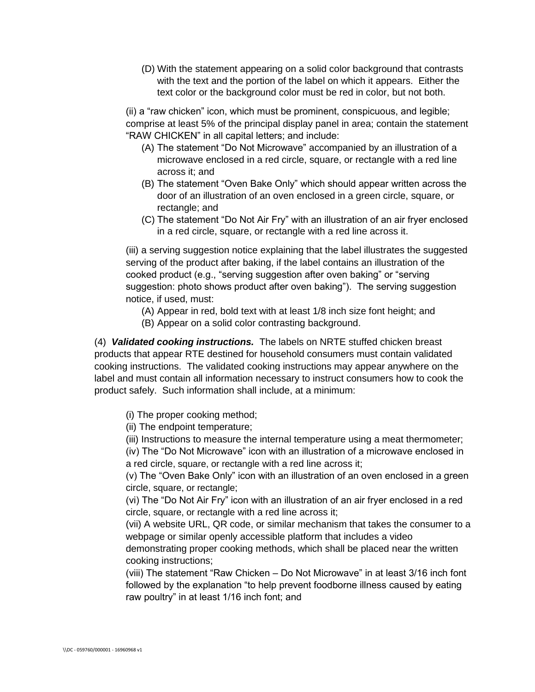(D) With the statement appearing on a solid color background that contrasts with the text and the portion of the label on which it appears. Either the text color or the background color must be red in color, but not both.

(ii) a "raw chicken" icon, which must be prominent, conspicuous, and legible; comprise at least 5% of the principal display panel in area; contain the statement "RAW CHICKEN" in all capital letters; and include:

- (A) The statement "Do Not Microwave" accompanied by an illustration of a microwave enclosed in a red circle, square, or rectangle with a red line across it; and
- (B) The statement "Oven Bake Only" which should appear written across the door of an illustration of an oven enclosed in a green circle, square, or rectangle; and
- (C) The statement "Do Not Air Fry" with an illustration of an air fryer enclosed in a red circle, square, or rectangle with a red line across it.

(iii) a serving suggestion notice explaining that the label illustrates the suggested serving of the product after baking, if the label contains an illustration of the cooked product (e.g., "serving suggestion after oven baking" or "serving suggestion: photo shows product after oven baking"). The serving suggestion notice, if used, must:

- (A) Appear in red, bold text with at least 1/8 inch size font height; and
- (B) Appear on a solid color contrasting background.

(4) *Validated cooking instructions.* The labels on NRTE stuffed chicken breast products that appear RTE destined for household consumers must contain validated cooking instructions. The validated cooking instructions may appear anywhere on the label and must contain all information necessary to instruct consumers how to cook the product safely. Such information shall include, at a minimum:

(i) The proper cooking method;

(ii) The endpoint temperature;

(iii) Instructions to measure the internal temperature using a meat thermometer;

(iv) The "Do Not Microwave" icon with an illustration of a microwave enclosed in a red circle, square, or rectangle with a red line across it;

(v) The "Oven Bake Only" icon with an illustration of an oven enclosed in a green circle, square, or rectangle;

(vi) The "Do Not Air Fry" icon with an illustration of an air fryer enclosed in a red circle, square, or rectangle with a red line across it;

(vii) A website URL, QR code, or similar mechanism that takes the consumer to a webpage or similar openly accessible platform that includes a video

demonstrating proper cooking methods, which shall be placed near the written cooking instructions;

(viii) The statement "Raw Chicken – Do Not Microwave" in at least 3/16 inch font followed by the explanation "to help prevent foodborne illness caused by eating raw poultry" in at least 1/16 inch font; and